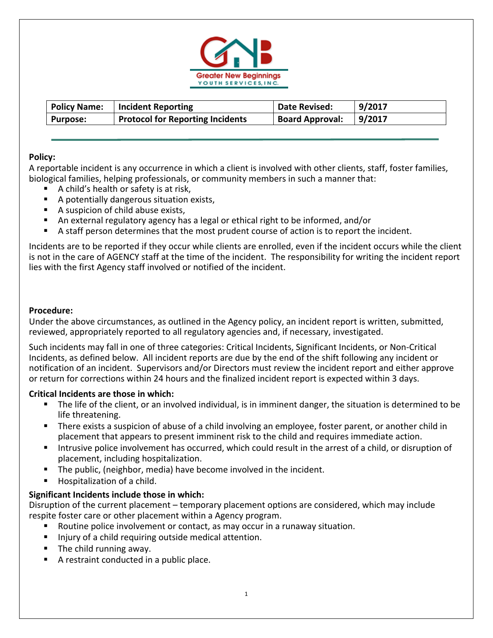

| <b>Policy Name:</b> | Incident Reporting                      | Date Revised:          | 9/2017 |
|---------------------|-----------------------------------------|------------------------|--------|
| Purpose:            | <b>Protocol for Reporting Incidents</b> | <b>Board Approval:</b> | 9/2017 |

# **Policy:**

A reportable incident is any occurrence in which a client is involved with other clients, staff, foster families, biological families, helping professionals, or community members in such a manner that:

- A child's health or safety is at risk,
- A potentially dangerous situation exists,
- A suspicion of child abuse exists,
- An external regulatory agency has a legal or ethical right to be informed, and/or
- A staff person determines that the most prudent course of action is to report the incident.

Incidents are to be reported if they occur while clients are enrolled, even if the incident occurs while the client is not in the care of AGENCY staff at the time of the incident. The responsibility for writing the incident report lies with the first Agency staff involved or notified of the incident.

## **Procedure:**

Under the above circumstances, as outlined in the Agency policy, an incident report is written, submitted, reviewed, appropriately reported to all regulatory agencies and, if necessary, investigated.

Such incidents may fall in one of three categories: Critical Incidents, Significant Incidents, or Non‐Critical Incidents, as defined below. All incident reports are due by the end of the shift following any incident or notification of an incident. Supervisors and/or Directors must review the incident report and either approve or return for corrections within 24 hours and the finalized incident report is expected within 3 days.

## **Critical Incidents are those in which:**

- The life of the client, or an involved individual, is in imminent danger, the situation is determined to be life threatening.
- There exists a suspicion of abuse of a child involving an employee, foster parent, or another child in placement that appears to present imminent risk to the child and requires immediate action.
- Intrusive police involvement has occurred, which could result in the arrest of a child, or disruption of placement, including hospitalization.
- The public, (neighbor, media) have become involved in the incident.
- Hospitalization of a child.

## **Significant Incidents include those in which:**

Disruption of the current placement – temporary placement options are considered, which may include respite foster care or other placement within a Agency program.

- Routine police involvement or contact, as may occur in a runaway situation.
- Injury of a child requiring outside medical attention.
- The child running away.
- A restraint conducted in a public place.